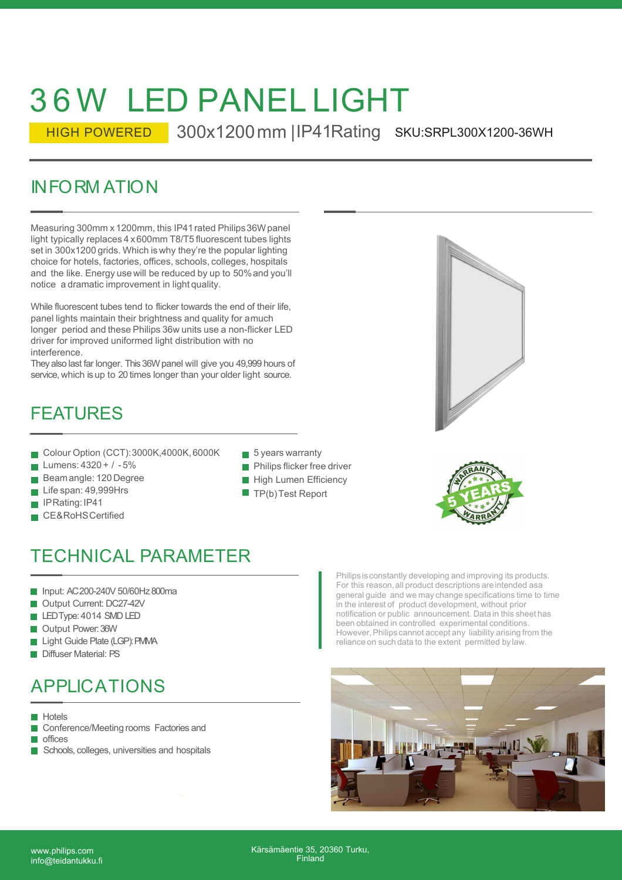# 3 6 W LED PANEL LIGHT

HIGH POWERED 300x1200 mm | IP41 Rating SKU: SRPL300X1200-36WH

36 W LED PANELLIGHT<br>
HIGH POWERED 300x1200 mm | | | | | | 41Rating s<br>
INFORM ATION<br>
Measuring 300mm x 1200mm, this | P41 rated Philips 36Wpanel<br>
Ilight typically replaces 4 x 600mm T8/T5 fluorescent tubes lights<br>
set in 3 Measuring 300mm x 1200mm, this IP41 rated Philips36W panel light typically replaces 4 x 600mm T8/T5 fluorescent tubes lights set in 300x1200 grids. Which is why they're the popular lighting choice for hotels, factories, offices, schools, colleges, hospitals and the like. Energy use will be reduced by up to 50% and you'll notice a dramatic improvement in light quality.

While fluorescent tubes tend to flicker towards the end of their life, panel lights maintain their brightness and quality for a much longer period and these Philips 36w units use a non-flicker LED driver for improved uniformed light distribution with no interference.

They also last far longer. This 36W panel will give you 49,999 hours of service, which is up to 20 times longer than your older light source.

### FEATURES

- Colour Option (CCT): 3000K,4000K, 6000K
- Lumens: 4320 + / 5%
- Beamangle: 120 Degree
- Life span: 49,999Hrs
- **IPRating: IP41**
- **CE&RoHSCertified**
- $\blacksquare$  5 years warranty
- **Philips flicker free driver**
- **High Lumen Efficiency**
- $\blacksquare$  TP(b) Test Report





## Colour Option (CCT): 3000N, 4000N, 6000N<br>
Lumens: 4320 + / -5%<br>
Beam angle: 120 Degree<br>
Life span: 49,999Hrs<br>
IPRating: IP41<br>
CE&RoHS Certified<br>
<br> **ECHNICAL PARAMETER**<br>
Input: AC200-240V 50/60Hz 800ma<br>
Output Current: DC27 Lumens: 4320 + 7 - 5%<br>
Beamangle: 120 Degree<br>
Life span: 49,999Hrs<br>
IPRating: IP41<br>
CE&RoHSCertified<br>
ECHNICAL PARAMETER<br>
Input: AC200-240V 50/60Hz 800ma<br>
Output Current: DC27-42V<br>
LEDType: 4014 SMD LED<br>
Output Power: 36W<br> Beamangie: 120 Degree<br>
Life span: 49,999Hrs<br>
IPRating: IP41<br>
CE&RoHS Certified<br>
ECHNICAL PARAMETER<br>
Input: AC200-240V 50/60Hz 800ma<br>
Output Current: DC27-42V<br>
LEDType: 4014 SMD LED<br>
Output Power: 36W<br>
Light Guide Plate (LG Life span: 49,999His<br>
IPRating: IP41<br>
CE&RoHS Certified<br> **ECHNICAL PARAMETER**<br>
Input: AC200-240V 50/60Hz 800ma<br>
Output Current: DC27-42V<br>
LEDType: 4014 SMD LED<br>
Output Power: 36W<br>
Light Guide Plate (LGP): FMMA<br>
Diffuser Ma FRAMETER<br>
CE&RoHSCertified<br> **ECHNICAL PARAMETER**<br>
Input: AC200-240V 50/60Hz 800ma<br>
Output Current: DC27-42V<br>
LEDType: 4014 SMD LED<br>
Output Power: 36W<br>
Light Guide Plate (LGP): PMMA<br>
Diffuser Material: PS<br>
PPIIC ATIONS ECHNICAL PARAMETER<br>
Input: AC200-240V 50/60Hz 800ma<br>
Output Current: DC27-42V<br>
LEDType: 4014 SMD LED<br>
Output Power: 36W<br>
Light Guide Plate (LGP): PMMA<br>
Diffuser Material: PS<br>
PPLIC ATIONS

- Input: AC 200-240V 50/60Hz 800ma
- Output Current: DC27-42V
- LED Type: 4014 SMD LED
- Output Power: 36W
- Light Guide Plate (LGP): PMMA
- 

### APPLICATIONS

**Hotels** 

- Conference/Meeting rooms Factories and  $\mathcal{L}_{\mathcal{A}}$
- **n**offices
- Schools, colleges, universities and hospitals

TECHNICAL PARAMETER<br>
■ Input: AC200-240V 50/60Hz 800ma<br>
■ Output Current: DC27-42V<br>
■ Output Power: 36W<br>
■ Output Power: 36W<br>
■ Diffuser Material: PS<br>
■ Diffuser Material: PS Philips is constantly developing and improving its products. For this reason, all product descriptions are intended as a general guide and we may change specifications time to time in the interest of product development, without prior notification or public announcement. Data in this sheet has been obtained in controlled experimental conditions. However, Philips cannot accept any liability arising from the reliance on such data to the extent permitted by law.



www.philips.com info@teidantukku.fi Kärsämäentie 35, 20360 Turku, Finland